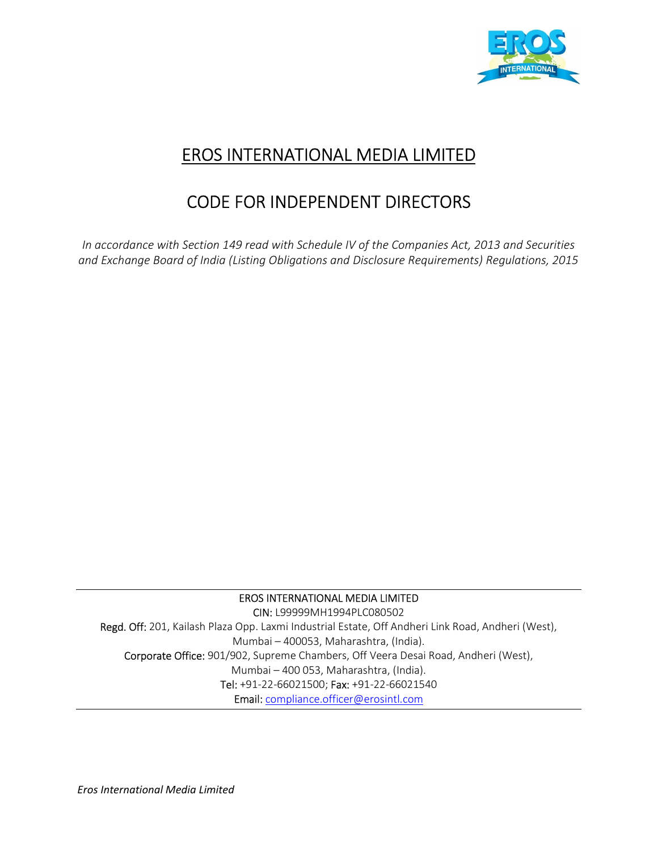

## EROS INTERNATIONAL MEDIA LIMITED

# CODE FOR INDEPENDENT DIRECTORS

In accordance with Section 149 read with Schedule IV of the Companies Act, 2013 and Securities and Exchange Board of India (Listing Obligations and Disclosure Requirements) Regulations, 2015

#### EROS INTERNATIONAL MEDIA LIMITED

CIN: L99999MH1994PLC080502 Regd. Off: 201, Kailash Plaza Opp. Laxmi Industrial Estate, Off Andheri Link Road, Andheri (West), Mumbai – 400053, Maharashtra, (India). Corporate Office: 901/902, Supreme Chambers, Off Veera Desai Road, Andheri (West), Mumbai – 400 053, Maharashtra, (India). Tel: +91-22-66021500; Fax: +91-22-66021540 Email: compliance.officer@erosintl.com

Eros International Media Limited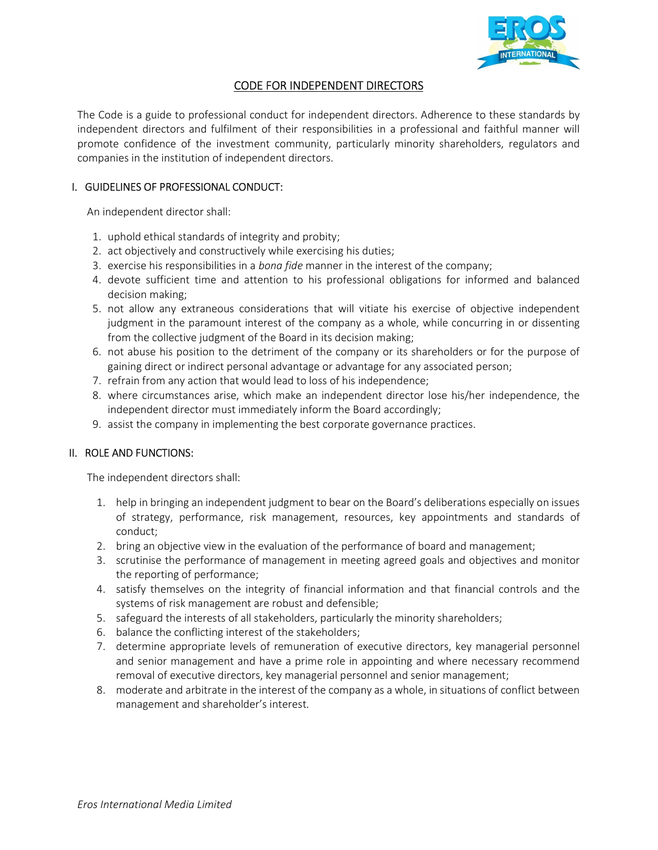

## CODE FOR INDEPENDENT DIRECTORS

The Code is a guide to professional conduct for independent directors. Adherence to these standards by independent directors and fulfilment of their responsibilities in a professional and faithful manner will promote confidence of the investment community, particularly minority shareholders, regulators and companies in the institution of independent directors.

## I. GUIDELINES OF PROFESSIONAL CONDUCT:

An independent director shall:

- 1. uphold ethical standards of integrity and probity;
- 2. act objectively and constructively while exercising his duties;
- 3. exercise his responsibilities in a *bona fide* manner in the interest of the company;
- 4. devote sufficient time and attention to his professional obligations for informed and balanced decision making;
- 5. not allow any extraneous considerations that will vitiate his exercise of objective independent judgment in the paramount interest of the company as a whole, while concurring in or dissenting from the collective judgment of the Board in its decision making;
- 6. not abuse his position to the detriment of the company or its shareholders or for the purpose of gaining direct or indirect personal advantage or advantage for any associated person;
- 7. refrain from any action that would lead to loss of his independence;
- 8. where circumstances arise, which make an independent director lose his/her independence, the independent director must immediately inform the Board accordingly;
- 9. assist the company in implementing the best corporate governance practices.

#### II. ROLE AND FUNCTIONS:

The independent directors shall:

- 1. help in bringing an independent judgment to bear on the Board's deliberations especially on issues of strategy, performance, risk management, resources, key appointments and standards of conduct;
- 2. bring an objective view in the evaluation of the performance of board and management;
- 3. scrutinise the performance of management in meeting agreed goals and objectives and monitor the reporting of performance;
- 4. satisfy themselves on the integrity of financial information and that financial controls and the systems of risk management are robust and defensible;
- 5. safeguard the interests of all stakeholders, particularly the minority shareholders;
- 6. balance the conflicting interest of the stakeholders;
- 7. determine appropriate levels of remuneration of executive directors, key managerial personnel and senior management and have a prime role in appointing and where necessary recommend removal of executive directors, key managerial personnel and senior management;
- 8. moderate and arbitrate in the interest of the company as a whole, in situations of conflict between management and shareholder's interest.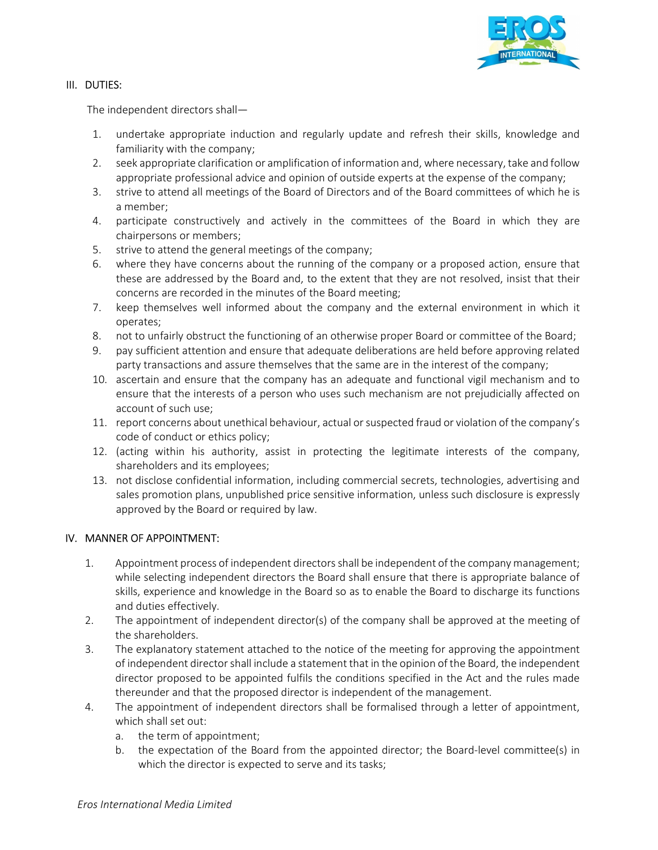

### III. DUTIES:

The independent directors shall—

- 1. undertake appropriate induction and regularly update and refresh their skills, knowledge and familiarity with the company;
- 2. seek appropriate clarification or amplification of information and, where necessary, take and follow appropriate professional advice and opinion of outside experts at the expense of the company;
- 3. strive to attend all meetings of the Board of Directors and of the Board committees of which he is a member;
- 4. participate constructively and actively in the committees of the Board in which they are chairpersons or members;
- 5. strive to attend the general meetings of the company;
- 6. where they have concerns about the running of the company or a proposed action, ensure that these are addressed by the Board and, to the extent that they are not resolved, insist that their concerns are recorded in the minutes of the Board meeting;
- 7. keep themselves well informed about the company and the external environment in which it operates;
- 8. not to unfairly obstruct the functioning of an otherwise proper Board or committee of the Board;
- 9. pay sufficient attention and ensure that adequate deliberations are held before approving related party transactions and assure themselves that the same are in the interest of the company;
- 10. ascertain and ensure that the company has an adequate and functional vigil mechanism and to ensure that the interests of a person who uses such mechanism are not prejudicially affected on account of such use;
- 11. report concerns about unethical behaviour, actual or suspected fraud or violation of the company's code of conduct or ethics policy;
- 12. (acting within his authority, assist in protecting the legitimate interests of the company, shareholders and its employees;
- 13. not disclose confidential information, including commercial secrets, technologies, advertising and sales promotion plans, unpublished price sensitive information, unless such disclosure is expressly approved by the Board or required by law.

## IV. MANNER OF APPOINTMENT:

- 1. Appointment process of independent directors shall be independent of the company management; while selecting independent directors the Board shall ensure that there is appropriate balance of skills, experience and knowledge in the Board so as to enable the Board to discharge its functions and duties effectively.
- 2. The appointment of independent director(s) of the company shall be approved at the meeting of the shareholders.
- 3. The explanatory statement attached to the notice of the meeting for approving the appointment of independent director shall include a statement that in the opinion of the Board, the independent director proposed to be appointed fulfils the conditions specified in the Act and the rules made thereunder and that the proposed director is independent of the management.
- 4. The appointment of independent directors shall be formalised through a letter of appointment, which shall set out:
	- a. the term of appointment;
	- b. the expectation of the Board from the appointed director; the Board-level committee(s) in which the director is expected to serve and its tasks;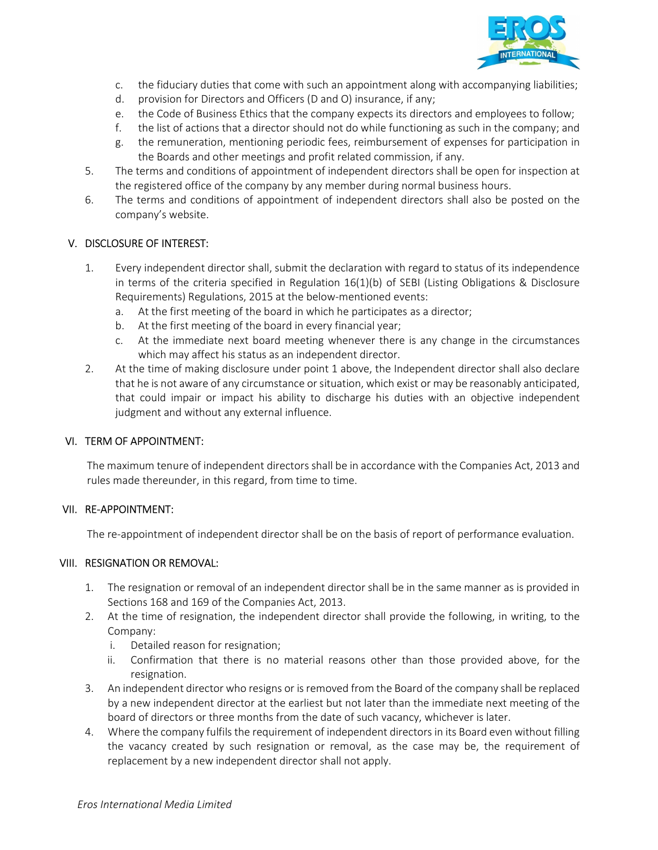

- c. the fiduciary duties that come with such an appointment along with accompanying liabilities;
- d. provision for Directors and Officers (D and O) insurance, if any;
- e. the Code of Business Ethics that the company expects its directors and employees to follow;
- f. the list of actions that a director should not do while functioning as such in the company; and
- g. the remuneration, mentioning periodic fees, reimbursement of expenses for participation in the Boards and other meetings and profit related commission, if any.
- 5. The terms and conditions of appointment of independent directors shall be open for inspection at the registered office of the company by any member during normal business hours.
- 6. The terms and conditions of appointment of independent directors shall also be posted on the company's website.

#### V. DISCLOSURE OF INTEREST:

- 1. Every independent director shall, submit the declaration with regard to status of its independence in terms of the criteria specified in Regulation 16(1)(b) of SEBI (Listing Obligations & Disclosure Requirements) Regulations, 2015 at the below-mentioned events:
	- a. At the first meeting of the board in which he participates as a director;
	- b. At the first meeting of the board in every financial year;
	- c. At the immediate next board meeting whenever there is any change in the circumstances which may affect his status as an independent director.
- 2. At the time of making disclosure under point 1 above, the Independent director shall also declare that he is not aware of any circumstance or situation, which exist or may be reasonably anticipated, that could impair or impact his ability to discharge his duties with an objective independent judgment and without any external influence.

#### VI. TERM OF APPOINTMENT:

The maximum tenure of independent directors shall be in accordance with the Companies Act, 2013 and rules made thereunder, in this regard, from time to time.

#### VII. RE-APPOINTMENT:

The re-appointment of independent director shall be on the basis of report of performance evaluation.

## VIII. RESIGNATION OR REMOVAL:

- 1. The resignation or removal of an independent director shall be in the same manner as is provided in Sections 168 and 169 of the Companies Act, 2013.
- 2. At the time of resignation, the independent director shall provide the following, in writing, to the Company:
	- i. Detailed reason for resignation;
	- ii. Confirmation that there is no material reasons other than those provided above, for the resignation.
- 3. An independent director who resigns or is removed from the Board of the company shall be replaced by a new independent director at the earliest but not later than the immediate next meeting of the board of directors or three months from the date of such vacancy, whichever is later.
- 4. Where the company fulfils the requirement of independent directors in its Board even without filling the vacancy created by such resignation or removal, as the case may be, the requirement of replacement by a new independent director shall not apply.